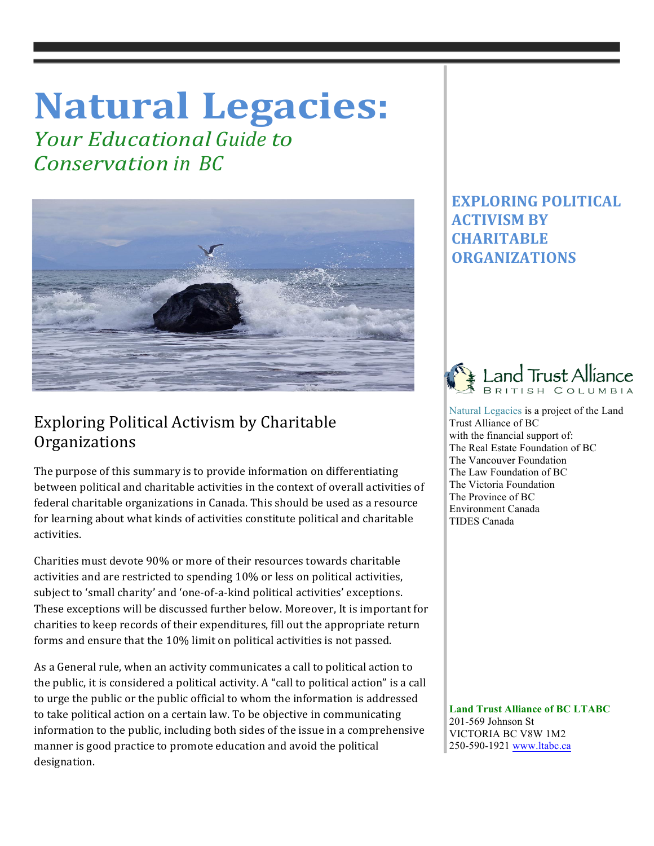# **Natural Legacies:**

*Your Educational Guide to Conservation in BC*



## Exploring Political Activism by Charitable **Organizations**

The purpose of this summary is to provide information on differentiating between political and charitable activities in the context of overall activities of federal charitable organizations in Canada. This should be used as a resource for learning about what kinds of activities constitute political and charitable activities. 

Charities must devote 90% or more of their resources towards charitable activities and are restricted to spending 10% or less on political activities, subject to 'small charity' and 'one-of-a-kind political activities' exceptions. These exceptions will be discussed further below. Moreover, It is important for charities to keep records of their expenditures, fill out the appropriate return forms and ensure that the 10% limit on political activities is not passed.

As a General rule, when an activity communicates a call to political action to the public, it is considered a political activity. A "call to political action" is a call to urge the public or the public official to whom the information is addressed to take political action on a certain law. To be objective in communicating information to the public, including both sides of the issue in a comprehensive manner is good practice to promote education and avoid the political designation. 

## **EXPLORING POLITICAL ACTIVISM BY CHARITABLE ORGANIZATIONS**



Natural Legacies is a project of the Land Trust Alliance of BC with the financial support of: The Real Estate Foundation of BC The Vancouver Foundation The Law Foundation of BC The Victoria Foundation The Province of BC Environment Canada TIDES Canada

 **Land Trust Alliance of BC LTABC** 201-569 Johnson St VICTORIA BC V8W 1M2 250-590-1921 www.ltabc.ca